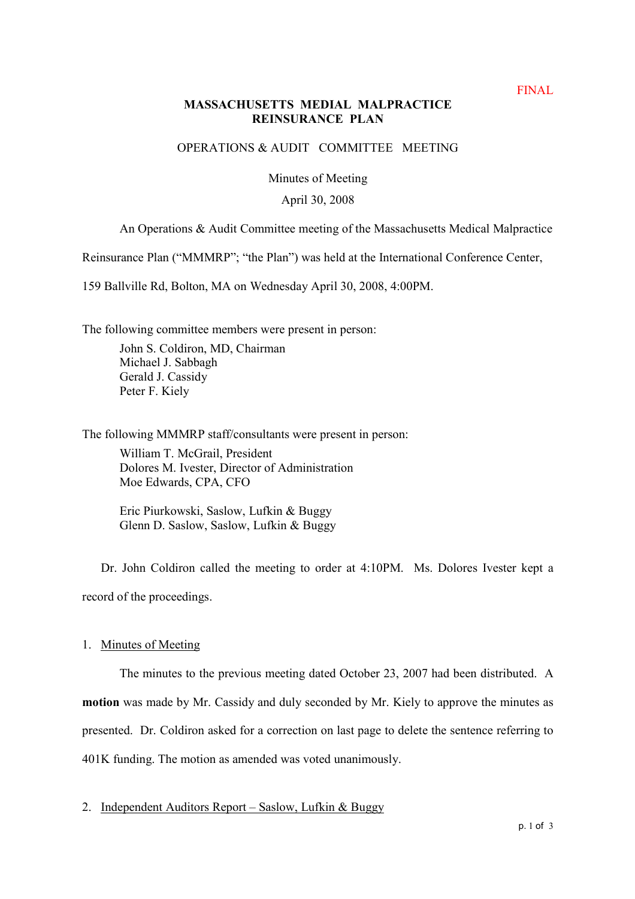## **MASSACHUSETTS MEDIAL MALPRACTICE REINSURANCE PLAN**

## OPERATIONS & AUDIT COMMITTEE MEETING

Minutes of Meeting

### April 30, 2008

# An Operations & Audit Committee meeting of the Massachusetts Medical Malpractice

Reinsurance Plan ("MMMRP"; "the Plan") was held at the International Conference Center,

159 Ballville Rd, Bolton, MA on Wednesday April 30, 2008, 4:00PM.

The following committee members were present in person:

John S. Coldiron, MD, Chairman Michael J. Sabbagh Gerald J. Cassidy Peter F. Kiely

The following MMMRP staff/consultants were present in person:

William T. McGrail, President Dolores M. Ivester, Director of Administration Moe Edwards, CPA, CFO

Eric Piurkowski, Saslow, Lufkin & Buggy Glenn D. Saslow, Saslow, Lufkin & Buggy

Dr. John Coldiron called the meeting to order at 4:10PM. Ms. Dolores Ivester kept a record of the proceedings.

## 1. Minutes of Meeting

The minutes to the previous meeting dated October 23, 2007 had been distributed. A **motion** was made by Mr. Cassidy and duly seconded by Mr. Kiely to approve the minutes as presented. Dr. Coldiron asked for a correction on last page to delete the sentence referring to 401K funding. The motion as amended was voted unanimously.

2. Independent Auditors Report – Saslow, Lufkin & Buggy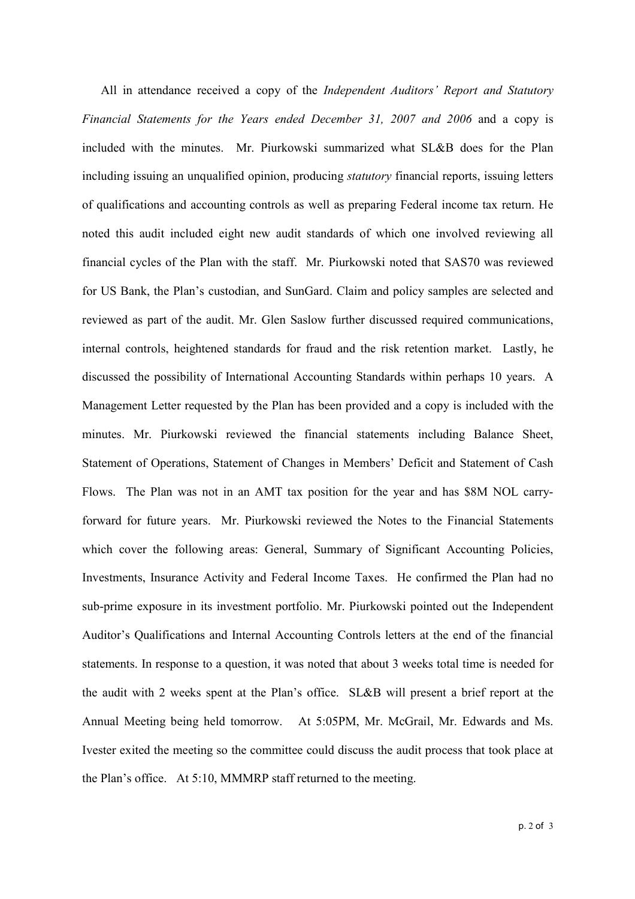All in attendance received a copy of the *Independent Auditors' Report and Statutory* Financial Statements for the Years ended December 31, 2007 and 2006 and a copy is included with the minutes. Mr. Piurkowski summarized what SL&B does for the Plan including issuing an unqualified opinion, producing *statutory* financial reports, issuing letters of qualifications and accounting controls as well as preparing Federal income tax return. He noted this audit included eight new audit standards of which one involved reviewing all financial cycles of the Plan with the staff. Mr. Piurkowski noted that SAS70 was reviewed for US Bank, the Plan's custodian, and SunGard. Claim and policy samples are selected and reviewed as part of the audit. Mr. Glen Saslow further discussed required communications, internal controls, heightened standards for fraud and the risk retention market. Lastly, he discussed the possibility of International Accounting Standards within perhaps 10 years. A Management Letter requested by the Plan has been provided and a copy is included with the minutes. Mr. Piurkowski reviewed the financial statements including Balance Sheet, Statement of Operations, Statement of Changes in Members' Deficit and Statement of Cash Flows. The Plan was not in an AMT tax position for the year and has \$8M NOL carryforward for future years. Mr. Piurkowski reviewed the Notes to the Financial Statements which cover the following areas: General, Summary of Significant Accounting Policies, Investments, Insurance Activity and Federal Income Taxes. He confirmed the Plan had no sub-prime exposure in its investment portfolio. Mr. Piurkowski pointed out the Independent Auditor's Qualifications and Internal Accounting Controls letters at the end of the financial statements. In response to a question, it was noted that about 3 weeks total time is needed for the audit with 2 weeks spent at the Plan's office. SL&B will present a brief report at the Annual Meeting being held tomorrow. At 5:05PM, Mr. McGrail, Mr. Edwards and Ms. Ivester exited the meeting so the committee could discuss the audit process that took place at the Plan's office. At 5:10, MMMRP staff returned to the meeting.